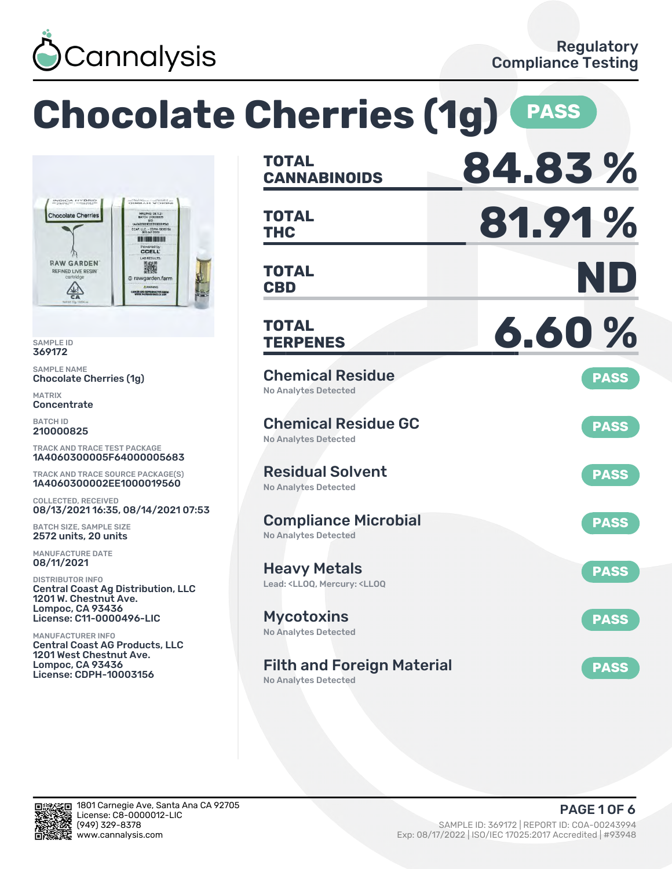

### **Chocolate Cherries (1g) CANNABINOIDS 84.83 % TOTAL** SERVICE CREAT **THC 81.91 % TOTAL** MFG/PKG 08.11.21 CCAP, LLC - COPH-1000311 **M S INDERMEDIATE CCELL CBD ND** 激 **TOTAL** rawgarden.farm .<br>Nati and reproductive has<br>Win'il pastilarmings.ca.gov **TERPENES 6.60 % TOTAL** Chemical Residue **PASS** Chocolate Cherries (1g) No Analytes Detected Chemical Residue GC **PASS** No Analytes Detected TRACK AND TRACE TEST PACKAGE 1A4060300005F64000005683 Residual Solvent TRACK AND TRACE SOURCE PACKAGE(S) **PASS** 1A4060300002EE1000019560 No Analytes Detected 08/13/2021 16:35, 08/14/2021 07:53 Compliance Microbial **PASS** BATCH SIZE, SAMPLE SIZE 2572 units, 20 units No Analytes Detected Heavy Metals **PASS** Lead: <LLOQ, Mercury: <LLOQ Central Coast Ag Distribution, LLC 1201 W. Chestnut Ave. Lompoc, CA 93436 License: C11-0000496-LIC Mycotoxins **PASS** No Analytes Detected Central Coast AG Products, LLC 1201 West Chestnut Ave. Lompoc, CA 93436 Filth and Foreign Material **PASS** License: CDPH-10003156 No Analytes Detected



SAMPLE ID 369172 SAMPLE NAME

**Chocolate Cherries** 

**RAW GARDEN** 

**REFINED LIVE RESIN** 

 $\frac{\sqrt{2}}{5}$ 

MATRIX **Concentrate** BATCH ID 210000825

COLLECTED, RECEIVED

MANUFACTURE DATE 08/11/2021 DISTRIBUTOR INFO

MANUFACTURER INFO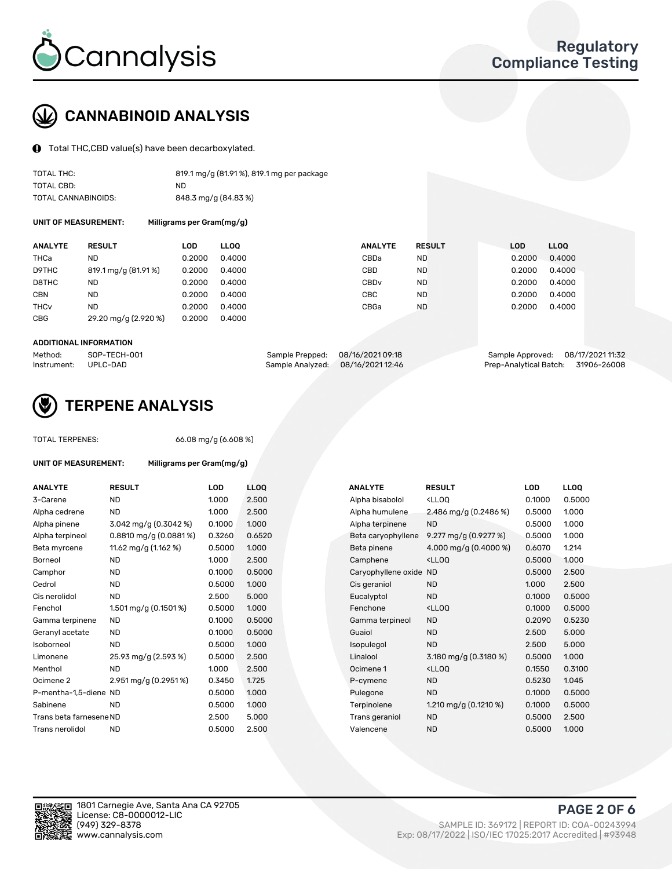

# CANNABINOID ANALYSIS

Total THC,CBD value(s) have been decarboxylated.

| TOTAL THC:          | 819.1 mg/g (81.91%), 819.1 mg per package |
|---------------------|-------------------------------------------|
| TOTAL CBD:          | ND.                                       |
| TOTAL CANNABINOIDS: | 848.3 mg/g (84.83 %)                      |

UNIT OF MEASUREMENT: Milligrams per Gram(mg/g)

| <b>ANALYTE</b>         | <b>RESULT</b>        | <b>LOD</b> | <b>LLOO</b> | <b>ANALYTE</b>   | <b>RESULT</b> | <b>LOD</b> | <b>LLOO</b> |
|------------------------|----------------------|------------|-------------|------------------|---------------|------------|-------------|
| THCa                   | ND                   | 0.2000     | 0.4000      | CBDa             | <b>ND</b>     | 0.2000     | 0.4000      |
| D9THC                  | 819.1 mg/g (81.91%)  | 0.2000     | 0.4000      | CBD              | <b>ND</b>     | 0.2000     | 0.4000      |
| D8THC                  | <b>ND</b>            | 0.2000     | 0.4000      | CBD <sub>v</sub> | <b>ND</b>     | 0.2000     | 0.4000      |
| <b>CBN</b>             | <b>ND</b>            | 0.2000     | 0.4000      | CBC              | <b>ND</b>     | 0.2000     | 0.4000      |
| <b>THC<sub>v</sub></b> | <b>ND</b>            | 0.2000     | 0.4000      | CBGa             | <b>ND</b>     | 0.2000     | 0.4000      |
| <b>CBG</b>             | 29.20 mg/g (2.920 %) | 0.2000     | 0.4000      |                  |               |            |             |

#### ADDITIONAL INFORMATION

| Method:              | SOP-TECH-001 | Sample Prepped: 08/16/2021 09:18  | Sample Approved: 08/17/2021 11:32  |  |
|----------------------|--------------|-----------------------------------|------------------------------------|--|
| Instrument: UPLC-DAD |              | Sample Analyzed: 08/16/2021 12:46 | Prep-Analytical Batch: 31906-26008 |  |



## TERPENE ANALYSIS

TOTAL TERPENES: 66.08 mg/g (6.608 %)

| UNIT OF MEASUREMENT:    | Milligrams per Gram(mg/g) |        |       |
|-------------------------|---------------------------|--------|-------|
| <b>ANALYTE</b>          | <b>RESULT</b>             | LOD    | LLOQ  |
| 3-Carene                | <b>ND</b>                 | 1.000  | 2.500 |
| Alpha cedrene           | ND.                       | 1.000  | 2.500 |
| Alpha pinene            | 3.042 mg/g (0.3042 %)     | 0.1000 | 1.000 |
| Alpha terpineol         | 0.8810 mg/g (0.0881%)     | 0.3260 | 0.652 |
| Beta myrcene            | 11.62 mg/g (1.162 %)      | 0.5000 | 1.000 |
| Borneol                 | <b>ND</b>                 | 1.000  | 2.500 |
| Camphor                 | <b>ND</b>                 | 0.1000 | 0.500 |
| Cedrol                  | <b>ND</b>                 | 0.5000 | 1.000 |
| Cis nerolidol           | <b>ND</b>                 | 2.500  | 5.000 |
| Fenchol                 | 1.501 mg/g (0.1501 %)     | 0.5000 | 1.000 |
| Gamma terpinene         | <b>ND</b>                 | 0.1000 | 0.500 |
| Geranyl acetate         | <b>ND</b>                 | 0.1000 | 0.500 |
| Isoborneol              | ND.                       | 0.5000 | 1.000 |
| Limonene                | 25.93 mg/g (2.593 %)      | 0.5000 | 2.500 |
| Menthol                 | <b>ND</b>                 | 1.000  | 2.500 |
| Ocimene 2               | 2.951 mg/g (0.2951 %)     | 0.3450 | 1.725 |
| P-mentha-1,5-diene ND   |                           | 0.5000 | 1.000 |
| Sabinene                | <b>ND</b>                 | 0.5000 | 1.000 |
| Trans beta farnesene ND |                           | 2.500  | 5.000 |
| Trans nerolidol         | ND                        | 0.5000 | 2.500 |

| ANALYTE                 | <b>RESULT</b>             | <b>LOD</b> | <b>LLOQ</b> | <b>ANALYTE</b>         | <b>RESULT</b>                                       | <b>LOD</b> | <b>LLOQ</b> |
|-------------------------|---------------------------|------------|-------------|------------------------|-----------------------------------------------------|------------|-------------|
| 3-Carene                | <b>ND</b>                 | 1.000      | 2.500       | Alpha bisabolol        | <ll0q< td=""><td>0.1000</td><td>0.5000</td></ll0q<> | 0.1000     | 0.5000      |
| Alpha cedrene           | <b>ND</b>                 | 1.000      | 2.500       | Alpha humulene         | 2.486 mg/g $(0.2486\%)$                             | 0.5000     | 1.000       |
| Alpha pinene            | 3.042 mg/g (0.3042 %)     | 0.1000     | 1.000       | Alpha terpinene        | <b>ND</b>                                           | 0.5000     | 1.000       |
| Alpha terpineol         | $0.8810$ mg/g $(0.0881%)$ | 0.3260     | 0.6520      | Beta caryophyllene     | 9.277 mg/g (0.9277 %)                               | 0.5000     | 1.000       |
| Beta myrcene            | 11.62 mg/g (1.162 %)      | 0.5000     | 1.000       | Beta pinene            | 4.000 mg/g $(0.4000\%)$                             | 0.6070     | 1.214       |
| Borneol                 | <b>ND</b>                 | 1.000      | 2.500       | Camphene               | <ll0q< td=""><td>0.5000</td><td>1.000</td></ll0q<>  | 0.5000     | 1.000       |
| Camphor                 | <b>ND</b>                 | 0.1000     | 0.5000      | Caryophyllene oxide ND |                                                     | 0.5000     | 2.500       |
| Cedrol                  | <b>ND</b>                 | 0.5000     | 1.000       | Cis geraniol           | <b>ND</b>                                           | 1.000      | 2.500       |
| Cis nerolidol           | <b>ND</b>                 | 2.500      | 5.000       | Eucalyptol             | <b>ND</b>                                           | 0.1000     | 0.5000      |
| Fenchol                 | 1.501 mg/g $(0.1501\%)$   | 0.5000     | 1.000       | Fenchone               | <ll0q< td=""><td>0.1000</td><td>0.5000</td></ll0q<> | 0.1000     | 0.5000      |
| Gamma terpinene         | ND.                       | 0.1000     | 0.5000      | Gamma terpineol        | <b>ND</b>                                           | 0.2090     | 0.5230      |
| Geranyl acetate         | ND.                       | 0.1000     | 0.5000      | Guaiol                 | <b>ND</b>                                           | 2.500      | 5.000       |
| Isoborneol              | <b>ND</b>                 | 0.5000     | 1.000       | Isopulegol             | <b>ND</b>                                           | 2.500      | 5.000       |
| Limonene                | 25.93 mg/g (2.593 %)      | 0.5000     | 2.500       | Linalool               | 3.180 mg/g (0.3180 %)                               | 0.5000     | 1.000       |
| Menthol                 | <b>ND</b>                 | 1.000      | 2.500       | Ocimene 1              | <ll0q< td=""><td>0.1550</td><td>0.3100</td></ll0q<> | 0.1550     | 0.3100      |
| Ocimene 2               | 2.951 mg/g (0.2951%)      | 0.3450     | 1.725       | P-cymene               | <b>ND</b>                                           | 0.5230     | 1.045       |
| P-mentha-1,5-diene ND   |                           | 0.5000     | 1.000       | Pulegone               | <b>ND</b>                                           | 0.1000     | 0.5000      |
| Sabinene                | <b>ND</b>                 | 0.5000     | 1.000       | Terpinolene            | 1.210 mg/g $(0.1210 \%)$                            | 0.1000     | 0.5000      |
| Trans beta farnesene ND |                           | 2.500      | 5.000       | Trans geraniol         | <b>ND</b>                                           | 0.5000     | 2.500       |
| Trans nerolidol         | <b>ND</b>                 | 0.5000     | 2.500       | Valencene              | <b>ND</b>                                           | 0.5000     | 1.000       |



PAGE 2 OF 6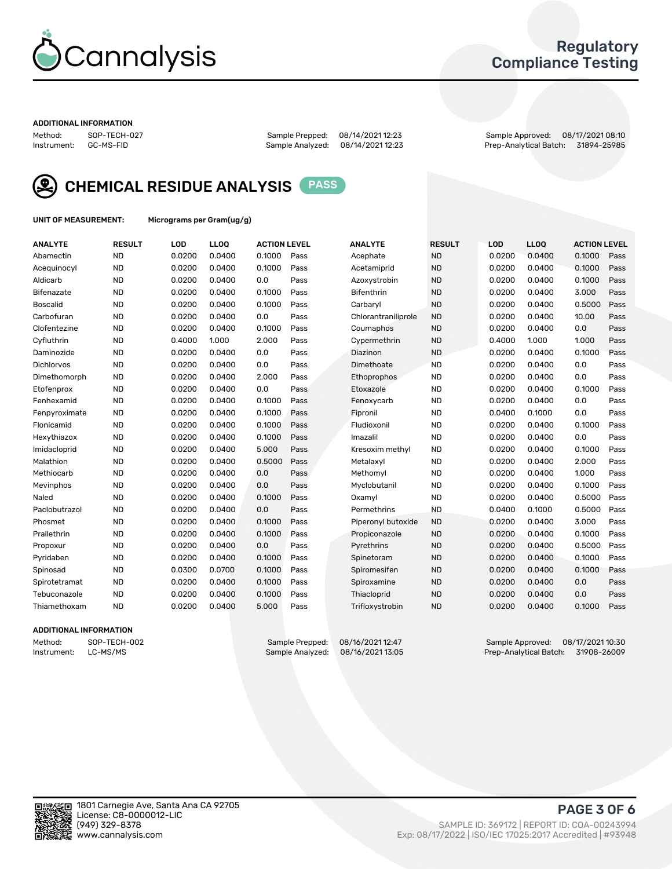

## Regulatory Compliance Testing

#### ADDITIONAL INFORMATION

Method: SOP-TECH-027 Sample Prepped: 08/14/2021 12:23 Sample Approved: 08/17/2021 08:10 Prep-Analytical Batch: 31894-25985



CHEMICAL RESIDUE ANALYSIS PASS

UNIT OF MEASUREMENT: Micrograms per Gram(ug/g)

| <b>ANALYTE</b>    | <b>RESULT</b> | LOD    | LLOQ   | <b>ACTION LEVEL</b> |      | <b>ANALYTE</b>      | <b>RESULT</b> | LOD    | <b>LLOQ</b> | <b>ACTION LEVEL</b> |      |
|-------------------|---------------|--------|--------|---------------------|------|---------------------|---------------|--------|-------------|---------------------|------|
| Abamectin         | <b>ND</b>     | 0.0200 | 0.0400 | 0.1000              | Pass | Acephate            | <b>ND</b>     | 0.0200 | 0.0400      | 0.1000              | Pass |
| Acequinocyl       | <b>ND</b>     | 0.0200 | 0.0400 | 0.1000              | Pass | Acetamiprid         | <b>ND</b>     | 0.0200 | 0.0400      | 0.1000              | Pass |
| Aldicarb          | <b>ND</b>     | 0.0200 | 0.0400 | 0.0                 | Pass | Azoxystrobin        | <b>ND</b>     | 0.0200 | 0.0400      | 0.1000              | Pass |
| Bifenazate        | <b>ND</b>     | 0.0200 | 0.0400 | 0.1000              | Pass | <b>Bifenthrin</b>   | <b>ND</b>     | 0.0200 | 0.0400      | 3.000               | Pass |
| <b>Boscalid</b>   | <b>ND</b>     | 0.0200 | 0.0400 | 0.1000              | Pass | Carbarvl            | <b>ND</b>     | 0.0200 | 0.0400      | 0.5000              | Pass |
| Carbofuran        | <b>ND</b>     | 0.0200 | 0.0400 | 0.0                 | Pass | Chlorantraniliprole | <b>ND</b>     | 0.0200 | 0.0400      | 10.00               | Pass |
| Clofentezine      | <b>ND</b>     | 0.0200 | 0.0400 | 0.1000              | Pass | Coumaphos           | <b>ND</b>     | 0.0200 | 0.0400      | 0.0                 | Pass |
| Cyfluthrin        | <b>ND</b>     | 0.4000 | 1.000  | 2.000               | Pass | Cypermethrin        | <b>ND</b>     | 0.4000 | 1.000       | 1.000               | Pass |
| Daminozide        | <b>ND</b>     | 0.0200 | 0.0400 | 0.0                 | Pass | Diazinon            | <b>ND</b>     | 0.0200 | 0.0400      | 0.1000              | Pass |
| <b>Dichlorvos</b> | <b>ND</b>     | 0.0200 | 0.0400 | 0.0                 | Pass | Dimethoate          | <b>ND</b>     | 0.0200 | 0.0400      | 0.0                 | Pass |
| Dimethomorph      | <b>ND</b>     | 0.0200 | 0.0400 | 2.000               | Pass | <b>Ethoprophos</b>  | <b>ND</b>     | 0.0200 | 0.0400      | 0.0                 | Pass |
| Etofenprox        | <b>ND</b>     | 0.0200 | 0.0400 | 0.0                 | Pass | Etoxazole           | <b>ND</b>     | 0.0200 | 0.0400      | 0.1000              | Pass |
| Fenhexamid        | <b>ND</b>     | 0.0200 | 0.0400 | 0.1000              | Pass | Fenoxycarb          | <b>ND</b>     | 0.0200 | 0.0400      | 0.0                 | Pass |
| Fenpyroximate     | <b>ND</b>     | 0.0200 | 0.0400 | 0.1000              | Pass | Fipronil            | <b>ND</b>     | 0.0400 | 0.1000      | 0.0                 | Pass |
| Flonicamid        | <b>ND</b>     | 0.0200 | 0.0400 | 0.1000              | Pass | Fludioxonil         | <b>ND</b>     | 0.0200 | 0.0400      | 0.1000              | Pass |
| Hexythiazox       | <b>ND</b>     | 0.0200 | 0.0400 | 0.1000              | Pass | Imazalil            | <b>ND</b>     | 0.0200 | 0.0400      | 0.0                 | Pass |
| Imidacloprid      | <b>ND</b>     | 0.0200 | 0.0400 | 5.000               | Pass | Kresoxim methyl     | <b>ND</b>     | 0.0200 | 0.0400      | 0.1000              | Pass |
| Malathion         | <b>ND</b>     | 0.0200 | 0.0400 | 0.5000              | Pass | Metalaxyl           | <b>ND</b>     | 0.0200 | 0.0400      | 2.000               | Pass |
| Methiocarb        | <b>ND</b>     | 0.0200 | 0.0400 | 0.0                 | Pass | Methomyl            | <b>ND</b>     | 0.0200 | 0.0400      | 1.000               | Pass |
| Mevinphos         | <b>ND</b>     | 0.0200 | 0.0400 | 0.0                 | Pass | Myclobutanil        | <b>ND</b>     | 0.0200 | 0.0400      | 0.1000              | Pass |
| Naled             | <b>ND</b>     | 0.0200 | 0.0400 | 0.1000              | Pass | Oxamyl              | <b>ND</b>     | 0.0200 | 0.0400      | 0.5000              | Pass |
| Paclobutrazol     | <b>ND</b>     | 0.0200 | 0.0400 | 0.0                 | Pass | Permethrins         | <b>ND</b>     | 0.0400 | 0.1000      | 0.5000              | Pass |
| Phosmet           | <b>ND</b>     | 0.0200 | 0.0400 | 0.1000              | Pass | Piperonyl butoxide  | <b>ND</b>     | 0.0200 | 0.0400      | 3.000               | Pass |
| Prallethrin       | <b>ND</b>     | 0.0200 | 0.0400 | 0.1000              | Pass | Propiconazole       | <b>ND</b>     | 0.0200 | 0.0400      | 0.1000              | Pass |
| Propoxur          | <b>ND</b>     | 0.0200 | 0.0400 | 0.0                 | Pass | Pyrethrins          | <b>ND</b>     | 0.0200 | 0.0400      | 0.5000              | Pass |
| Pyridaben         | <b>ND</b>     | 0.0200 | 0.0400 | 0.1000              | Pass | Spinetoram          | <b>ND</b>     | 0.0200 | 0.0400      | 0.1000              | Pass |
| Spinosad          | <b>ND</b>     | 0.0300 | 0.0700 | 0.1000              | Pass | Spiromesifen        | <b>ND</b>     | 0.0200 | 0.0400      | 0.1000              | Pass |
| Spirotetramat     | <b>ND</b>     | 0.0200 | 0.0400 | 0.1000              | Pass | Spiroxamine         | <b>ND</b>     | 0.0200 | 0.0400      | 0.0                 | Pass |
| Tebuconazole      | <b>ND</b>     | 0.0200 | 0.0400 | 0.1000              | Pass | Thiacloprid         | <b>ND</b>     | 0.0200 | 0.0400      | 0.0                 | Pass |
| Thiamethoxam      | <b>ND</b>     | 0.0200 | 0.0400 | 5.000               | Pass | Trifloxystrobin     | <b>ND</b>     | 0.0200 | 0.0400      | 0.1000              | Pass |

### ADDITIONAL INFORMATION

Method: SOP-TECH-002 Sample Prepped: 08/16/2021 12:47 Sample Approved: 08/17/2021 10:30<br>Instrument: LC-MS/MS Sample Analyzed: 08/16/2021 13:05 Prep-Analytical Batch: 31908-26009 Prep-Analytical Batch: 31908-26009

PAGE 3 OF 6

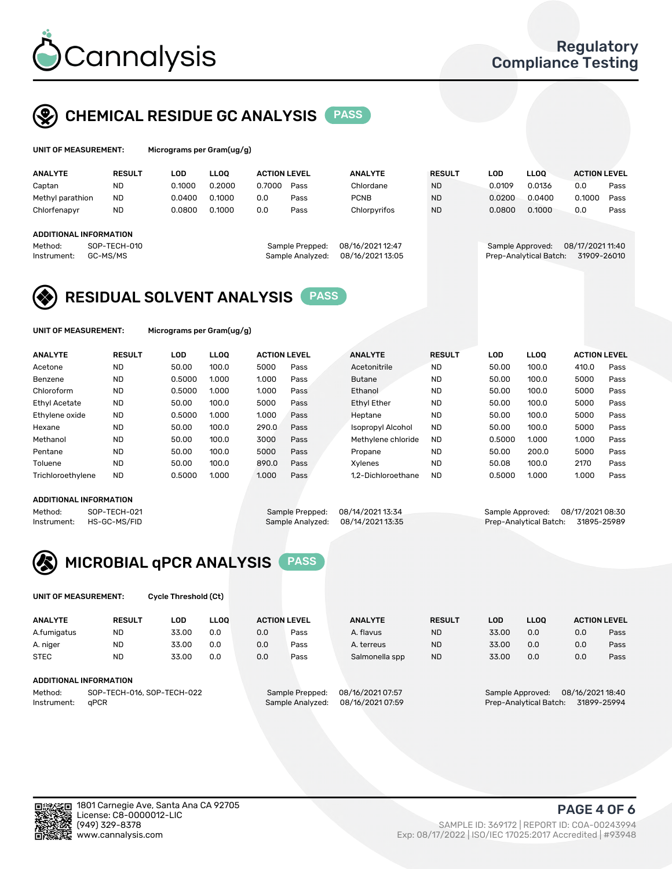

## CHEMICAL RESIDUE GC ANALYSIS PASS

grams per Gram(ug/g)

| <b>RESULT</b> | LOD                                                | <b>LLOO</b> |        |      | <b>ANALYTE</b>                                             | <b>RESULT</b> | LOD    | <b>LLOO</b> | <b>ACTION LEVEL</b>                        |                  |
|---------------|----------------------------------------------------|-------------|--------|------|------------------------------------------------------------|---------------|--------|-------------|--------------------------------------------|------------------|
| <b>ND</b>     | 0.1000                                             | 0.2000      | 0.7000 | Pass | Chlordane                                                  | <b>ND</b>     | 0.0109 | 0.0136      | 0.0                                        | Pass             |
| <b>ND</b>     | 0.0400                                             | 0.1000      | 0.0    | Pass | <b>PCNB</b>                                                | <b>ND</b>     | 0.0200 | 0.0400      | 0.1000                                     | Pass             |
| <b>ND</b>     | 0.0800                                             | 0.1000      | 0.0    | Pass | Chlorpyrifos                                               | <b>ND</b>     | 0.0800 | 0.1000      | 0.0                                        | Pass             |
|               |                                                    |             |        |      |                                                            |               |        |             |                                            |                  |
|               |                                                    |             |        |      |                                                            |               |        |             |                                            |                  |
|               |                                                    |             |        |      | 08/16/2021 12:47                                           |               |        |             |                                            |                  |
|               |                                                    |             |        |      | 08/16/2021 13:05                                           |               |        |             | 31909-26010                                |                  |
|               | ADDITIONAL INFORMATION<br>SOP-TECH-010<br>GC-MS/MS |             |        |      | <b>ACTION LEVEL</b><br>Sample Prepped:<br>Sample Analyzed: |               |        |             | Sample Approved:<br>Prep-Analytical Batch: | 08/17/2021 11:40 |

## RESIDUAL SOLVENT ANALYSIS PASS

UNIT OF MEASUREMENT: Micrograms per Gram(ug/g)

| <b>ANALYTE</b>    | <b>RESULT</b> | LOD    | <b>LLOO</b> | <b>ACTION LEVEL</b> |      | <b>ANALYTE</b>           | <b>RESULT</b> | LOD    | LLOO  | <b>ACTION LEVEL</b> |      |
|-------------------|---------------|--------|-------------|---------------------|------|--------------------------|---------------|--------|-------|---------------------|------|
| Acetone           | <b>ND</b>     | 50.00  | 100.0       | 5000                | Pass | Acetonitrile             | <b>ND</b>     | 50.00  | 100.0 | 410.0               | Pass |
| Benzene           | <b>ND</b>     | 0.5000 | 1.000       | 1.000               | Pass | <b>Butane</b>            | <b>ND</b>     | 50.00  | 100.0 | 5000                | Pass |
| Chloroform        | <b>ND</b>     | 0.5000 | 1.000       | 1.000               | Pass | Ethanol                  | <b>ND</b>     | 50.00  | 100.0 | 5000                | Pass |
| Ethyl Acetate     | <b>ND</b>     | 50.00  | 100.0       | 5000                | Pass | <b>Ethyl Ether</b>       | <b>ND</b>     | 50.00  | 100.0 | 5000                | Pass |
| Ethylene oxide    | <b>ND</b>     | 0.5000 | 1.000       | 1.000               | Pass | Heptane                  | <b>ND</b>     | 50.00  | 100.0 | 5000                | Pass |
| Hexane            | <b>ND</b>     | 50.00  | 100.0       | 290.0               | Pass | <b>Isopropyl Alcohol</b> | <b>ND</b>     | 50.00  | 100.0 | 5000                | Pass |
| Methanol          | <b>ND</b>     | 50.00  | 100.0       | 3000                | Pass | Methylene chloride       | <b>ND</b>     | 0.5000 | 1.000 | 1.000               | Pass |
| Pentane           | <b>ND</b>     | 50.00  | 100.0       | 5000                | Pass | Propane                  | <b>ND</b>     | 50.00  | 200.0 | 5000                | Pass |
| Toluene           | <b>ND</b>     | 50.00  | 100.0       | 890.0               | Pass | Xvlenes                  | <b>ND</b>     | 50.08  | 100.0 | 2170                | Pass |
| Trichloroethylene | <b>ND</b>     | 0.5000 | 1.000       | 1.000               | Pass | 1.2-Dichloroethane       | <b>ND</b>     | 0.5000 | 1.000 | 1.000               | Pass |

### ADDITIONAL INFORMATION

Method: SOP-TECH-021 Sample Prepped: 08/14/2021 13:34 Sample Approved: 08/17/2021 08:30<br>Instrument: HS-GC-MS/FID Sample Analyzed: 08/14/2021 13:35 Prep-Analytical Batch: 31895-25989 Prep-Analytical Batch: 31895-25989



UNIT OF MEASUREMENT: Cycle Threshold (Ct)

| <b>ANALYTE</b>                        | <b>RESULT</b>          | LOD   | <b>LLOO</b> | <b>ACTION LEVEL</b> |                  | <b>ANALYTE</b> | <b>RESULT</b> | LOD              | <b>LLOO</b>      |     | <b>ACTION LEVEL</b> |
|---------------------------------------|------------------------|-------|-------------|---------------------|------------------|----------------|---------------|------------------|------------------|-----|---------------------|
| A.fumigatus                           | <b>ND</b>              | 33.00 | 0.0         | 0.0                 | Pass             | A. flavus      | <b>ND</b>     | 33.00            | 0.0              | 0.0 | Pass                |
| A. niger                              | <b>ND</b>              | 33.00 | 0.0         | 0.0                 | Pass             | A. terreus     | <b>ND</b>     | 33.00            | 0.0              | 0.0 | Pass                |
| <b>STEC</b>                           | <b>ND</b>              | 33.00 | 0.0         | 0.0                 | Pass             | Salmonella spp | <b>ND</b>     | 33.00            | 0.0              | 0.0 | Pass                |
|                                       | ADDITIONAL INFORMATION |       |             |                     |                  |                |               |                  |                  |     |                     |
| Method:<br>SOP-TECH-016, SOP-TECH-022 |                        |       |             | Sample Prepped:     | 08/16/2021 07:57 |                |               | Sample Approved: | 08/16/2021 18:40 |     |                     |

Instrument: qPCR Sample Analyzed: 08/16/2021 07:59 Prep-Analytical Batch: 31899-25994

PAGE 4 OF 6

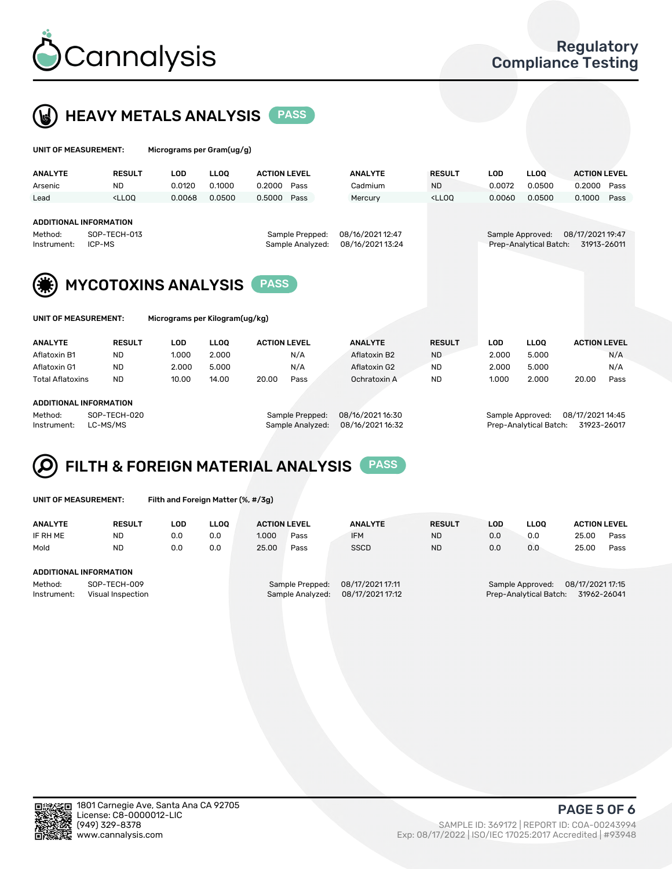



| UNIT OF MEASUREMENT:                                                        |                                                                                                                                                                                         | Micrograms per Gram(ug/g)      |             |                     |                  |                  |                                                                                 |                  |                        |                     |      |
|-----------------------------------------------------------------------------|-----------------------------------------------------------------------------------------------------------------------------------------------------------------------------------------|--------------------------------|-------------|---------------------|------------------|------------------|---------------------------------------------------------------------------------|------------------|------------------------|---------------------|------|
| <b>ANALYTE</b>                                                              | <b>RESULT</b>                                                                                                                                                                           | <b>LOD</b>                     | <b>LLOQ</b> | <b>ACTION LEVEL</b> |                  | <b>ANALYTE</b>   | <b>RESULT</b>                                                                   | <b>LOD</b>       | <b>LLOQ</b>            | <b>ACTION LEVEL</b> |      |
| Arsenic                                                                     | <b>ND</b>                                                                                                                                                                               | 0.0120                         | 0.1000      | 0.2000              | Pass             | Cadmium          | <b>ND</b>                                                                       | 0.0072           | 0.0500                 | 0.2000              | Pass |
| Lead                                                                        | <lloo< td=""><td>0.0068</td><td>0.0500</td><td>0.5000</td><td>Pass</td><td>Mercury</td><td><lloq< td=""><td>0.0060</td><td>0.0500</td><td>0.1000</td><td>Pass</td></lloq<></td></lloo<> | 0.0068                         | 0.0500      | 0.5000              | Pass             | Mercury          | <lloq< td=""><td>0.0060</td><td>0.0500</td><td>0.1000</td><td>Pass</td></lloq<> | 0.0060           | 0.0500                 | 0.1000              | Pass |
| <b>ADDITIONAL INFORMATION</b><br>SOP-TECH-013<br>Method:<br>Sample Prepped: |                                                                                                                                                                                         |                                |             |                     | 08/16/2021 12:47 |                  |                                                                                 | Sample Approved: | 08/17/2021 19:47       |                     |      |
| ICP-MS<br>Instrument:                                                       |                                                                                                                                                                                         |                                |             |                     | Sample Analyzed: | 08/16/2021 13:24 |                                                                                 |                  | Prep-Analytical Batch: | 31913-26011         |      |
| UNIT OF MEASUREMENT:                                                        |                                                                                                                                                                                         | <b>MYCOTOXINS ANALYSIS</b>     |             | <b>PASS</b>         |                  |                  |                                                                                 |                  |                        |                     |      |
|                                                                             |                                                                                                                                                                                         | Micrograms per Kilogram(ug/kg) |             |                     |                  |                  |                                                                                 |                  |                        |                     |      |
| <b>ANALYTE</b>                                                              | <b>RESULT</b>                                                                                                                                                                           | <b>LOD</b>                     | <b>LLOO</b> | <b>ACTION LEVEL</b> |                  | <b>ANALYTE</b>   | <b>RESULT</b>                                                                   | <b>LOD</b>       | <b>LLOQ</b>            | <b>ACTION LEVEL</b> |      |
| Aflatoxin B1                                                                | <b>ND</b>                                                                                                                                                                               | 1.000                          | 2.000       |                     | N/A              | Aflatoxin B2     | <b>ND</b>                                                                       | 2.000            | 5.000                  |                     | N/A  |
| Aflatoxin G1                                                                | <b>ND</b>                                                                                                                                                                               | 2.000                          | 5.000       |                     | N/A              | Aflatoxin G2     | <b>ND</b>                                                                       | 2.000            | 5.000                  |                     | N/A  |
| <b>Total Aflatoxins</b>                                                     | <b>ND</b>                                                                                                                                                                               | 10.00                          | 14.00       | 20.00               | Pass             | Ochratoxin A     | <b>ND</b>                                                                       | 1.000            | 2.000                  | 20.00               | Pass |
|                                                                             |                                                                                                                                                                                         |                                |             |                     |                  |                  |                                                                                 |                  |                        |                     |      |

#### ADDITIONAL INFORMATION

Method: SOP-TECH-020 Sample Prepped: 08/16/2021 16:30 Sample Approved: 08/17/2021 14:45 Instrument: LC-MS/MS Sample Analyzed: 08/16/2021 16:32 Prep-Analytical Batch: 31923-26017



UNIT OF MEASUREMENT: Filth and Foreign Matter (%, #/3g)

| <b>ANALYTE</b>         | <b>RESULT</b>                     | LOD | LLOO | <b>ACTION LEVEL</b> |                                     | <b>ANALYTE</b>                       | <b>RESULT</b> | LOD | <b>LLOO</b>                                | <b>ACTION LEVEL</b>             |      |
|------------------------|-----------------------------------|-----|------|---------------------|-------------------------------------|--------------------------------------|---------------|-----|--------------------------------------------|---------------------------------|------|
| IF RH ME               | <b>ND</b>                         | 0.0 | 0.0  | 1.000               | Pass                                | <b>IFM</b>                           | <b>ND</b>     | 0.0 | 0.0                                        | 25.00                           | Pass |
| Mold                   | <b>ND</b>                         | 0.0 | 0.0  | 25.00               | Pass                                | <b>SSCD</b>                          | <b>ND</b>     | 0.0 | 0.0                                        | 25.00                           | Pass |
| ADDITIONAL INFORMATION |                                   |     |      |                     |                                     |                                      |               |     |                                            |                                 |      |
| Method:<br>Instrument: | SOP-TECH-009<br>Visual Inspection |     |      |                     | Sample Prepped:<br>Sample Analyzed: | 08/17/2021 17:11<br>08/17/2021 17:12 |               |     | Sample Approved:<br>Prep-Analytical Batch: | 08/17/2021 17:15<br>31962-26041 |      |